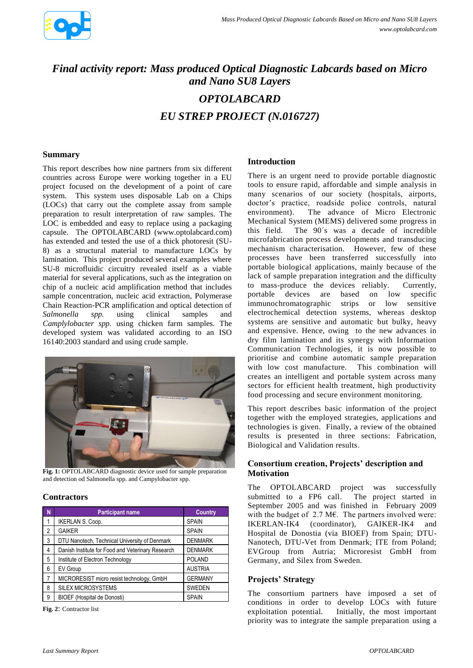

# *Final activity report: Mass produced Optical Diagnostic Labcards based on Micro and Nano SU8 Layers OPTOLABCARD EU STREP PROJECT (N.016727)*

### **Summary**

This report describes how nine partners from six different countries across Europe were working together in a EU project focused on the development of a point of care system. This system uses disposable Lab on a Chips (LOCs) that carry out the complete assay from sample preparation to result interpretation of raw samples. The LOC is embedded and easy to replace using a packaging capsule. The OPTOLABCARD (www.optolabcard.com) has extended and tested the use of a thick photoresit (SU-8) as a structural material to manufacture LOCs by lamination. This project produced several examples where SU-8 microfluidic circuitry revealed itself as a viable material for several applications, such as the integration on chip of a nucleic acid amplification method that includes sample concentration, nucleic acid extraction, Polymerase Chain Reaction-PCR amplification and optical detection of *Salmonella spp.* using clinical samples and *Camplylobacter spp.* using chicken farm samples. The developed system was validated according to an ISO 16140:2003 standard and using crude sample.



Fig. 1: OPTOLABCARD diagnostic device used for sample preparation and detection od Salmonella spp. and Campylobacter spp.

#### **Contractors**

| N              | <b>Participant name</b>                           | <b>Country</b> |
|----------------|---------------------------------------------------|----------------|
| 1              | <b>IKERLAN S. Coop.</b>                           | <b>SPAIN</b>   |
| $\overline{2}$ | <b>GAIKER</b>                                     | <b>SPAIN</b>   |
| 3              | DTU Nanotech, Technical University of Denmark     | <b>DENMARK</b> |
| 4              | Danish Institute for Food and Veterinary Research | <b>DENMARK</b> |
| 5              | Institute of Electron Technology                  | <b>POLAND</b>  |
| 6              | EV Group                                          | <b>AUSTRIA</b> |
| 7              | MICRORESIST micro resist technology, GmbH         | <b>GERMANY</b> |
| 8              | <b>SILEX MICROSYSTEMS</b>                         | SWEDEN         |
| 9              | BIOEF (Hospital de Donosti)                       | <b>SPAIN</b>   |

**Fig. 2**: Contractor list

#### **Introduction**

There is an urgent need to provide portable diagnostic tools to ensure rapid, affordable and simple analysis in many scenarios of our society (hospitals, airports, doctor's practice, roadside police controls, natural environment). The advance of Micro Electronic Mechanical System (MEMS) delivered some progress in this field. The 90´s was a decade of incredible microfabrication process developments and transducing mechanism characterisation. However, few of these processes have been transferred successfully into portable biological applications, mainly because of the lack of sample preparation integration and the difficulty to mass-produce the devices reliably. Currently, portable devices are based on low specific immunochromatographic strips or low sensitive electrochemical detection systems, whereas desktop systems are sensitive and automatic but bulky, heavy and expensive. Hence, owing to the new advances in dry film lamination and its synergy with Information Communication Technologies, it is now possible to prioritise and combine automatic sample preparation with low cost manufacture. This combination will creates an intelligent and portable system across many sectors for efficient health treatment, high productivity food processing and secure environment monitoring.

This report describes basic information of the project together with the employed strategies, applications and technologies is given. Finally, a review of the obtained results is presented in three sections: Fabrication, Biological and Validation results.

## **Consortium creation, Projects' description and Motivation**

The OPTOLABCARD project was successfully submitted to a FP6 call. The project started in September 2005 and was finished in February 2009 with the budget of  $2.7 \text{ M}\epsilon$ . The partners involved were: IKERLAN-IK4 (coordinator), GAIKER-IK4 and Hospital de Donostia (via BIOEF) from Spain; DTU-Nanotech, DTU-Vet from Denmark; ITE from Poland; EVGroup from Autria; Microresist GmbH from Germany, and Silex from Sweden.

#### **Projects' Strategy**

The consortium partners have imposed a set of conditions in order to develop LOCs with future exploitation potential. Initially, the most important priority was to integrate the sample preparation using a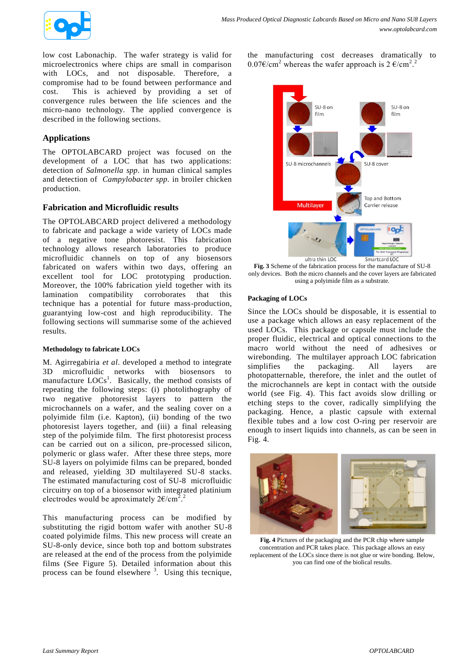

low cost Labonachip. The wafer strategy is valid for microelectronics where chips are small in comparison with LOCs, and not disposable. Therefore, a compromise had to be found between performance and cost. This is achieved by providing a set of convergence rules between the life sciences and the micro-nano technology. The applied convergence is described in the following sections.

## **Applications**

The OPTOLABCARD project was focused on the development of a LOC that has two applications: detection of *Salmonella spp.* in human clinical samples and detection of *Campylobacter spp.* in broiler chicken production.

## **Fabrication and Microfluidic results**

The OPTOLABCARD project delivered a methodology to fabricate and package a wide variety of LOCs made of a negative tone photoresist. This fabrication technology allows research laboratories to produce microfluidic channels on top of any biosensors fabricated on wafers within two days, offering an excellent tool for LOC prototyping production. Moreover, the 100% fabrication yield together with its lamination compatibility corroborates that this technique has a potential for future mass-production, guarantying low-cost and high reproducibility. The following sections will summarise some of the achieved results.

#### **Methodology to fabricate LOCs**

M. Agirregabiria *et al*. developed a method to integrate 3D microfluidic networks with biosensors to manufacture  $LOG<sup>1</sup>$ . Basically, the method consists of repeating the following steps: (i) photolithography of two negative photoresist layers to pattern the microchannels on a wafer, and the sealing cover on a polyimide film (i.e. Kapton), (ii) bonding of the two photoresist layers together, and (iii) a final releasing step of the polyimide film. The first photoresist process can be carried out on a silicon, pre-processed silicon, polymeric or glass wafer. After these three steps, more SU-8 layers on polyimide films can be prepared, bonded and released, yielding 3D multilayered SU-8 stacks. The estimated manufacturing cost of SU-8 microfluidic circuitry on top of a biosensor with integrated platinium electrodes would be aproximately  $2\epsilon/cm^2$ .

<span id="page-1-1"></span>This manufacturing process can be modified by substituting the rigid bottom wafer with another SU-8 coated polyimide films. This new process will create an SU-8-only device, since both top and bottom substrates are released at the end of the process from the polyimide films (See Figure 5). Detailed information about this process can be found elsewhere  $3$ . Using this tecnique, the manufacturing cost decreases dramatically to 0[.](#page-1-0)07€/cm<sup>2</sup> whereas the wafer approach is  $2 \text{ } \in / \text{cm}^2$ .<sup>2</sup>



**Fig. 3** Scheme of the fabrication process for the manufacture of SU-8 only devices. Both the micro channels and the cover layers are fabricated using a polyimide film as a substrate.

#### **Packaging of LOCs**

Since the LOCs should be disposable, it is essential to use a package which allows an easy replacement of the used LOCs. This package or capsule must include the proper fluidic, electrical and optical connections to the macro world without the need of adhesives or wirebonding. The multilayer approach LOC fabrication simplifies the packaging. All layers are photopatternable, therefore, the inlet and the outlet of the microchannels are kept in contact with the outside world (see Fig. 4). This fact avoids slow drilling or etching steps to the cover, radically simplifying the packaging. Hence, a plastic capsule with external flexible tubes and a low cost O-ring per reservoir are enough to insert liquids into channels, as can be seen in Fig. 4.

<span id="page-1-0"></span>

**Fig. 4** Pictures of the packaging and the PCR chip where sample concentration and PCR takes place. This package allows an easy replacement of the LOCs since there is not glue or wire bonding. Below, you can find one of the biolical results.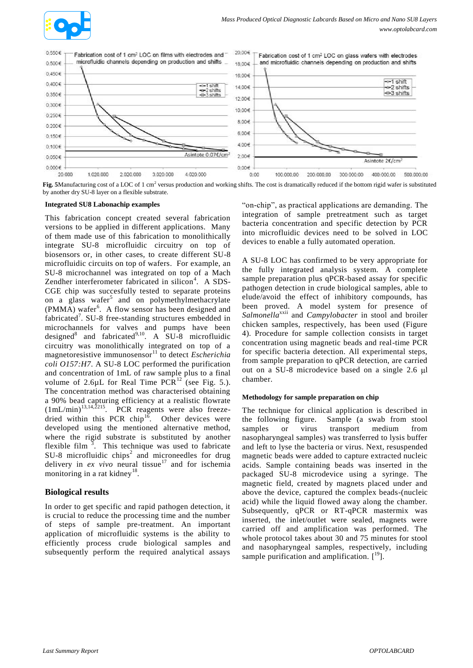



Fig. 5Manufacturing cost of a LOC of 1 cm<sup>2</sup> versus production and working shifts. The cost is dramatically reduced if the bottom rigid wafer is substituted by another dry SU-8 layer on a flexible substrate.

#### **Integrated SU8 Labonachip examples**

This fabrication concept created several fabrication versions to be applied in different applications. Many of them made use of this fabrication to monolithically integrate SU-8 microfluidic circuitry on top of biosensors or, in other cases, to create different SU-8 microfluidic circuits on top of wafers. For example, an SU-8 microchannel was integrated on top of a Mach Zendher interferometer fabricated in silicon<sup>4</sup>. A SDS-CGE chip was succesfully tested to separate proteins on a glass wafer<sup>5</sup> and on polymethylmethacrylate (PMMA) wafer<sup>6</sup>. A flow sensor has been designed and fabricated<sup>7</sup>. SU-8 free-standing structures embedded in microchannels for valves and pumps have been designed<sup>8</sup> and fabricated<sup>9,10</sup>. A SU-8 microfluidic circuitry was monolithically integrated on top of a magnetoresistive immunosensor<sup>11</sup> to detect *Escherichia coli O157:H7*. A SU-8 LOC performed the purification and concentration of 1mL of raw sample plus to a final volume of 2.6 $\mu$ L for Real Time PCR<sup>12</sup> (see Fig. 5.). The concentration method was characterised obtaining a 90% bead capturing efficiency at a realistic flowrate  $(1 mL/min)^{13,14,2215}$ . PCR reagents were also freezedried within this PCR chip<sup>16</sup>. Other devices were developed using the mentioned alternative method, where the rigid substrate is substituted by another flexible film  $\frac{3}{2}$ [.](#page-1-1) This technique was used to fabricate SU-8 microfluidic chip[s](#page-1-0)<sup>2</sup> and microneedles for drug delivery in  $ex$  vivo neural tissue<sup>17</sup> and for ischemia monitoring in a rat kidney<sup>18</sup>.

## **Biological results**

In order to get specific and rapid pathogen detection, it is crucial to reduce the processing time and the number of steps of sample pre-treatment. An important application of microfluidic systems is the ability to efficiently process crude biological samples and subsequently perform the required analytical assays

"on-chip", as practical applications are demanding. The integration of sample pretreatment such as target bacteria concentration and specific detection by PCR into microfluidic devices need to be solved in LOC devices to enable a fully automated operation.

A SU-8 LOC has confirmed to be very appropriate for the fully integrated analysis system. A complete sample preparation plus qPCR-based assay for specific pathogen detection in crude biological samples, able to elude/avoid the effect of inhibitory compounds, has been proved. A model system for presence of *Salmonella*<sup>xxii</sup> and *Campylobacter* in stool and broiler chicken samples, respectively, has been used (Figure 4). Procedure for sample collection consists in target concentration using magnetic beads and real-time PCR for specific bacteria detection. All experimental steps, from sample preparation to qPCR detection, are carried out on a SU-8 microdevice based on a single 2.6 µl chamber.

#### **Methodology for sample preparation on chip**

The technique for clinical application is described in the following figure. Sample (a swab from stool samples or virus transport medium from nasopharyngeal samples) was transferred to lysis buffer and left to lyse the bacteria or virus. Next, resuspended magnetic beads were added to capture extracted nucleic acids. Sample containing beads was inserted in the packaged SU-8 microdevice using a syringe. The magnetic field, created by magnets placed under and above the device, captured the complex beads-(nucleic acid) while the liquid flowed away along the chamber. Subsequently, qPCR or RT-qPCR mastermix was inserted, the inlet/outlet were sealed, magnets were carried off and amplification was performed. The whole protocol takes about 30 and 75 minutes for stool and nasopharyngeal samples, respectively, including sample purification and amplification.  $[19]$ .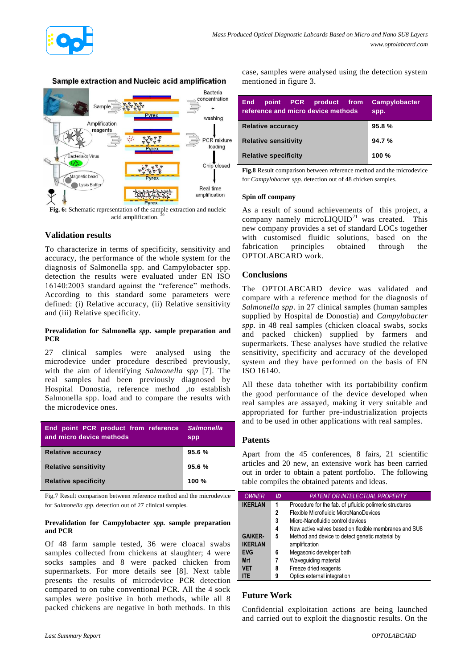

## Sample extraction and Nucleic acid amplification



**Fig. 6:** Schematic representation of the sample extraction and nucleic acid amplification.<sup>20</sup>

## **Validation results**

To characterize in terms of specificity, sensitivity and accuracy, the performance of the whole system for the diagnosis of Salmonella spp. and Campylobacter spp. detection the results were evaluated under EN ISO 16140:2003 standard against the "reference" methods. According to this standard some parameters were defined: (i) Relative accuracy, (ii) Relative sensitivity and (iii) Relative specificity.

#### **Prevalidation for Salmonella** *spp***. sample preparation and PCR**

27 clinical samples were analysed using the microdevice under procedure described previously, with the aim of identifying *Salmonella spp* [7]. The real samples had been previously diagnosed by Hospital Donostia, reference method ,to establish Salmonella spp. load and to compare the results with the microdevice ones.

| End point PCR product from reference<br>and micro device methods | <b>Salmonella</b><br>spp |
|------------------------------------------------------------------|--------------------------|
| Relative accuracy                                                | 95.6%                    |
| <b>Relative sensitivity</b>                                      | 95.6%                    |
| <b>Relative specificity</b>                                      | 100 $%$                  |

Fig.7 Result comparison between reference method and the microdevice for *Salmonella spp*. detection out of 27 clinical samples.

#### **Prevalidation for Campylobacter** *spp.* **sample preparation and PCR**

Of 48 farm sample tested, 36 were cloacal swabs samples collected from chickens at slaughter; 4 were socks samples and 8 were packed chicken from supermarkets. For more details see [8]. Next table presents the results of microdevice PCR detection compared to on tube conventional PCR. All the 4 sock samples were positive in both methods, while all 8 packed chickens are negative in both methods. In this

case, samples were analysed using the detection system mentioned in figure 3.

| point PCR product from<br><b>End</b><br>reference and micro device methods | <b>Campylobacter</b><br>spp. |
|----------------------------------------------------------------------------|------------------------------|
| <b>Relative accuracy</b>                                                   | 95.8%                        |
| <b>Relative sensitivity</b>                                                | 94.7%                        |
| <b>Relative specificity</b>                                                | 100 $%$                      |

**Fig.8** Result comparison between reference method and the microdevice for *Campylobacter spp*. detection out of 48 chicken samples.

#### **Spin off company**

As a result of sound achievements of this project, a company namely microLIQUID<sup>21</sup> was created. This new company provides a set of standard LOCs together with customised fluidic solutions, based on the fabrication principles obtained through the OPTOLABCARD work.

## **Conclusions**

The OPTOLABCARD device was validated and compare with a reference method for the diagnosis of *Salmonella spp*. in 27 clinical samples (human samples supplied by Hospital de Donostia) and *Campylobacter spp.* in 48 real samples (chicken cloacal swabs, socks and packed chicken) supplied by farmers and supermarkets. These analyses have studied the relative sensitivity, specificity and accuracy of the developed system and they have performed on the basis of EN ISO 16140.

All these data tohether with its portabibility confirm the good performance of the device developed when real samples are assayed, making it very suitable and appropriated for further pre-industrialization projects and to be used in other applications with real samples.

## **Patents**

Apart from the 45 conferences, 8 fairs, 21 scientific articles and 20 new, an extensive work has been carried out in order to obtain a patent portfolio. The following table compiles the obtained patents and ideas.

| <b>OWNER</b>   | ID | <b>PATENT OR INTELECTUAL PROPERTY</b>                   |  |
|----------------|----|---------------------------------------------------------|--|
| <b>IKERLAN</b> | 1  | Procedure for the fab. of ufluidic polimeric structures |  |
|                | 2  | Flexible Microfluidic MicroNanoDevices                  |  |
|                | 3  | Micro-Nanofluidic control devices                       |  |
|                | 4  | New active valves based on flexible membranes and SU8   |  |
| <b>GAIKER-</b> | 5  | Method and device to detect genetic material by         |  |
| <b>IKERLAN</b> |    | amplification                                           |  |
| <b>EVG</b>     | 6  | Megasonic developer bath                                |  |
| <b>Mrt</b>     | 7  | Wavequiding material                                    |  |
| <b>VET</b>     | 8  | Freeze dried reagents                                   |  |
| <b>ITE</b>     | 9  | Optics external integration                             |  |

## **Future Work**

Confidential exploitation actions are being launched and carried out to exploit the diagnostic results. On the